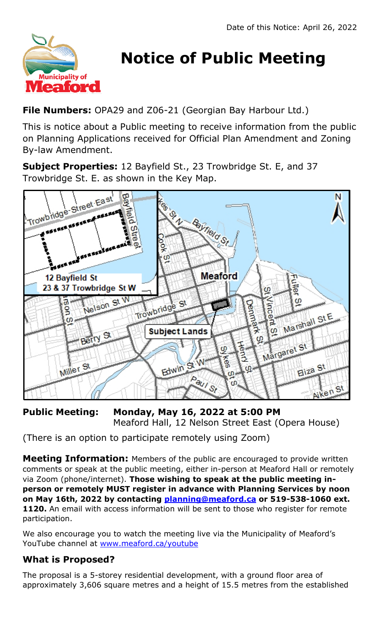

# **Notice of Public Meeting**

**File Numbers:** OPA29 and Z06-21 (Georgian Bay Harbour Ltd.)

This is notice about a Public meeting to receive information from the public on Planning Applications received for Official Plan Amendment and Zoning By-law Amendment.

**Subject Properties:** 12 Bayfield St., 23 Trowbridge St. E, and 37 Trowbridge St. E. as shown in the Key Map.



**Public Meeting: Monday, May 16, 2022 at 5:00 PM** Meaford Hall, 12 Nelson Street East (Opera House)

(There is an option to participate remotely using Zoom)

**Meeting Information:** Members of the public are encouraged to provide written comments or speak at the public meeting, either in-person at Meaford Hall or remotely via Zoom (phone/internet). **Those wishing to speak at the public meeting inperson or remotely MUST register in advance with Planning Services by noon on May 16th, 2022 by contacting [planning@meaford.ca](mailto:planning@meaford.ca) or 519-538-1060 ext. 1120.** An email with access information will be sent to those who register for remote participation.

We also encourage you to watch the meeting live via the Municipality of Meaford's YouTube channel at [www.meaford.ca/youtube](http://www.meaford.ca/youtube)

## **What is Proposed?**

The proposal is a 5-storey residential development, with a ground floor area of approximately 3,606 square metres and a height of 15.5 metres from the established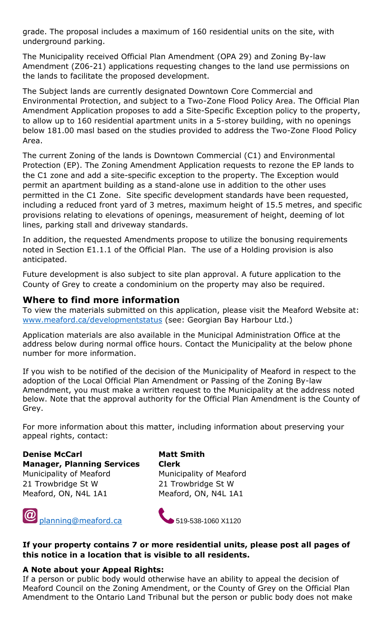grade. The proposal includes a maximum of 160 residential units on the site, with underground parking.

The Municipality received Official Plan Amendment (OPA 29) and Zoning By-law Amendment (Z06-21) applications requesting changes to the land use permissions on the lands to facilitate the proposed development.

The Subject lands are currently designated Downtown Core Commercial and Environmental Protection, and subject to a Two-Zone Flood Policy Area. The Official Plan Amendment Application proposes to add a Site-Specific Exception policy to the property, to allow up to 160 residential apartment units in a 5-storey building, with no openings below 181.00 masl based on the studies provided to address the Two-Zone Flood Policy Area.

The current Zoning of the lands is Downtown Commercial (C1) and Environmental Protection (EP). The Zoning Amendment Application requests to rezone the EP lands to the C1 zone and add a site-specific exception to the property. The Exception would permit an apartment building as a stand-alone use in addition to the other uses permitted in the C1 Zone. Site specific development standards have been requested, including a reduced front yard of 3 metres, maximum height of 15.5 metres, and specific provisions relating to elevations of openings, measurement of height, deeming of lot lines, parking stall and driveway standards.

In addition, the requested Amendments propose to utilize the bonusing requirements noted in Section E1.1.1 of the Official Plan. The use of a Holding provision is also anticipated.

Future development is also subject to site plan approval. A future application to the County of Grey to create a condominium on the property may also be required.

### **Where to find more information**

To view the materials submitted on this application, please visit the Meaford Website at: [www.meaford.ca/developmentstatus](http://www.meaford.ca/developmentstatus) (see: Georgian Bay Harbour Ltd.)

Application materials are also available in the Municipal Administration Office at the address below during normal office hours. Contact the Municipality at the below phone number for more information.

If you wish to be notified of the decision of the Municipality of Meaford in respect to the adoption of the Local Official Plan Amendment or Passing of the Zoning By-law Amendment, you must make a written request to the Municipality at the address noted below. Note that the approval authority for the Official Plan Amendment is the County of Grey.

For more information about this matter, including information about preserving your appeal rights, contact:

**Denise McCarl Matt Smith Manager, Planning Services Clerk** Municipality of Meaford Municipality of Meaford 21 Trowbridge St W 21 Trowbridge St W Meaford, ON, N4L 1A1 Meaford, ON, N4L 1A1





#### **If your property contains 7 or more residential units, please post all pages of this notice in a location that is visible to all residents.**

#### **A Note about your Appeal Rights:**

If a person or public body would otherwise have an ability to appeal the decision of Meaford Council on the Zoning Amendment, or the County of Grey on the Official Plan Amendment to the Ontario Land Tribunal but the person or public body does not make